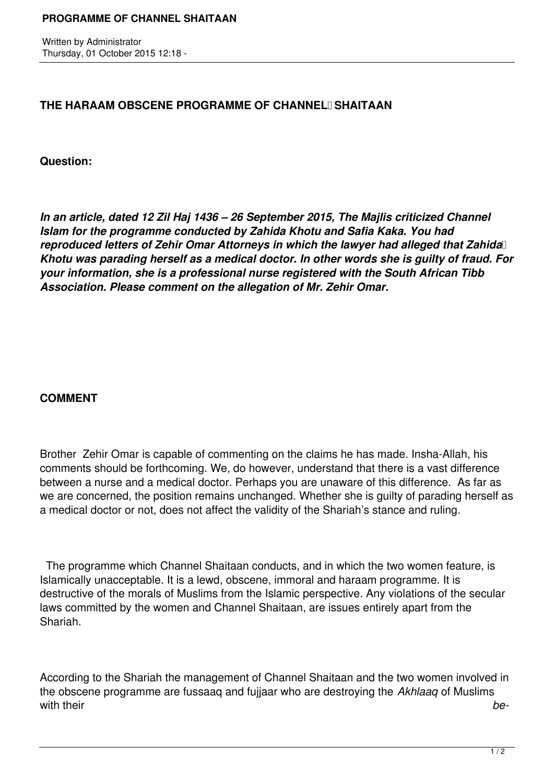Written by Administrator Thursday, 01 October 2015 12:18 -

## **THE HARAAM OBSCENE PROGRAMME OF CHANNEL SHAITAAN**

**Question:**

*In an article, dated 12 Zil Haj 1436 – 26 September 2015, The Majlis criticized Channel Islam for the programme conducted by Zahida Khotu and Safia Kaka. You had reproduced letters of Zehir Omar Attorneys in which the lawyer had alleged that Zahida Khotu was parading herself as a medical doctor. In other words she is guilty of fraud. For your information, she is a professional nurse registered with the South African Tibb Association. Please comment on the allegation of Mr. Zehir Omar.*

## **COMMENT**

Brother Zehir Omar is capable of commenting on the claims he has made. Insha-Allah, his comments should be forthcoming. We, do however, understand that there is a vast difference between a nurse and a medical doctor. Perhaps you are unaware of this difference. As far as we are concerned, the position remains unchanged. Whether she is guilty of parading herself as a medical doctor or not, does not affect the validity of the Shariah's stance and ruling.

 The programme which Channel Shaitaan conducts, and in which the two women feature, is Islamically unacceptable. It is a lewd, obscene, immoral and haraam programme. It is destructive of the morals of Muslims from the Islamic perspective. Any violations of the secular laws committed by the women and Channel Shaitaan, are issues entirely apart from the Shariah.

According to the Shariah the management of Channel Shaitaan and the two women involved in the obscene programme are fussaaq and fujjaar who are destroying the *Akhlaaq* of Muslims with their *be-*